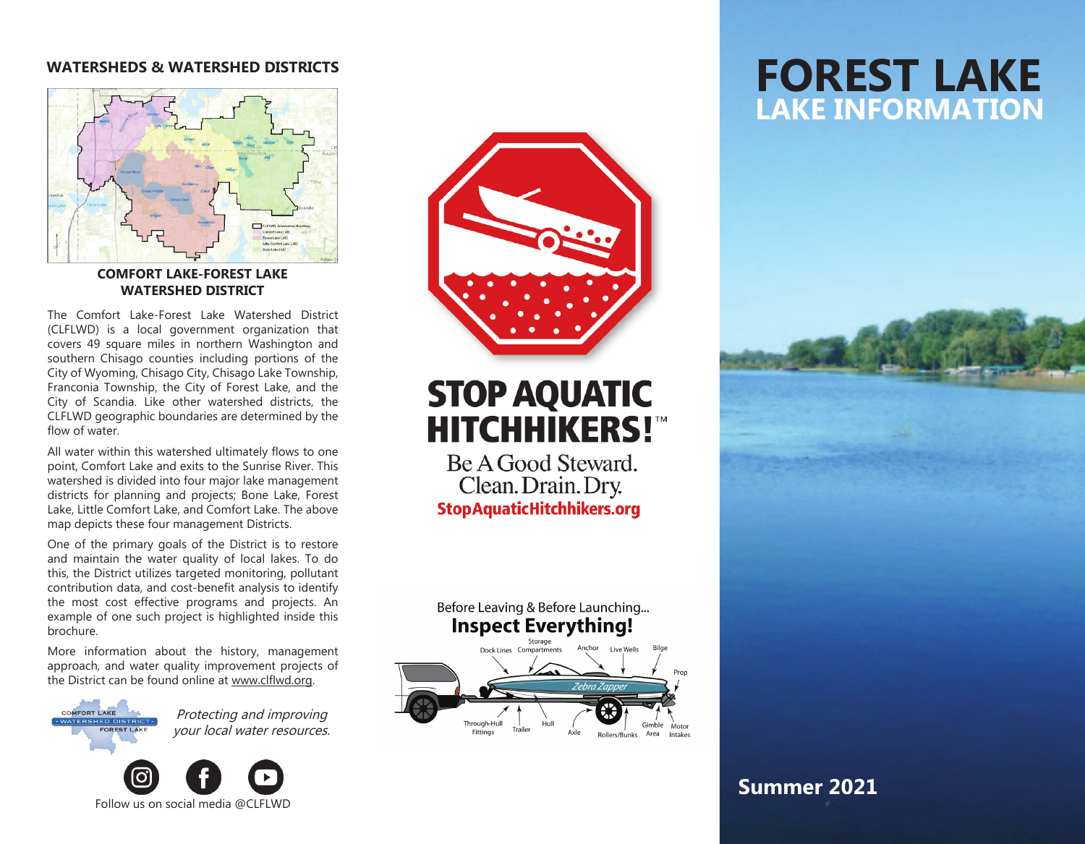#### **WATERSHEDS & WATERSHED DISTRICTS**



#### **COMFORT LAKE-FOREST LAKE WATERSHED DISTRICT**

The Comfort Lake-Forest Lake Watershed District (CLFLWD) is a local government organization that covers 49 square miles in northern Washington and southern Chisago counties including portions of the City of Wyoming, Chisago City, Chisago Lake Township, Franconia Township, the City of Forest Lake, and the City of Scandia. Like other watershed districts, the CLFLWD geographic boundaries are determined by the flow of water.

All water within this watershed ultimately flows to one point, Comfort Lake and exits to the Sunrise River. This watershed is divided into four major lake management districts for planning and projects; Bone Lake, Forest Lake, Little Comfort Lake, and Comfort Lake. The above map depicts these four management Districts.

One of the primary goals of the District is to restore and maintain the water quality of local lakes. To do this, the District utilizes targeted monitoring, pollutant contribution data, and cost-benefit analysis to identify the most cost effective programs and projects. An example of one such project is highlighted inside this brochure.

More information about the history, management approach, and water quality improvement projects of the District can be found online at www.clflwd.org.

**MEORT LAKE** 

Protecting and improving your local water resources.





# **STOP AQUATIC HITCHHIKERS!"**

Be A Good Steward. Clean. Drain. Dry. **StopAquaticHitchhikers.org** 



Fittings

## **FOREST LAKE LAKE INFORMATION**



### **Summer 2021**

Intakes